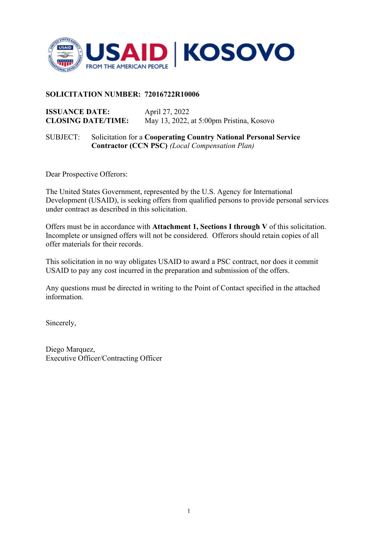

### **SOLICITATION NUMBER: 72016722R10006**

**ISSUANCE DATE:** April 27, 2022<br>**CLOSING DATE/TIME:** May 13, 2022, **CLOSING DATE/TIME:** May 13, 2022, at 5:00pm Pristina, Kosovo

SUBJECT: Solicitation for a **Cooperating Country National Personal Service Contractor (CCN PSC)** *(Local Compensation Plan)*

Dear Prospective Offerors:

The United States Government, represented by the U.S. Agency for International Development (USAID), is seeking offers from qualified persons to provide personal services under contract as described in this solicitation.

Offers must be in accordance with **Attachment 1, Sections I through V** of this solicitation. Incomplete or unsigned offers will not be considered. Offerors should retain copies of all offer materials for their records.

This solicitation in no way obligates USAID to award a PSC contract, nor does it commit USAID to pay any cost incurred in the preparation and submission of the offers.

Any questions must be directed in writing to the Point of Contact specified in the attached information.

Sincerely,

Diego Marquez, Executive Officer/Contracting Officer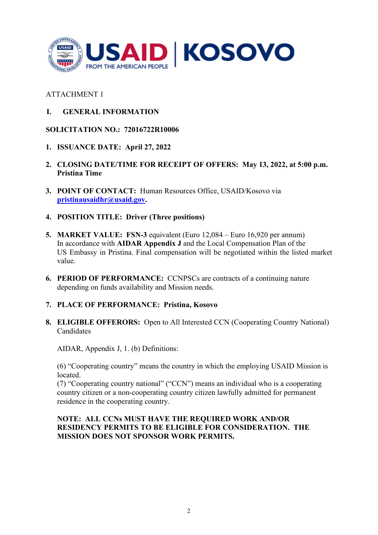

## ATTACHMENT 1

**I. GENERAL INFORMATION**

### **SOLICITATION NO.: 72016722R10006**

- **1. ISSUANCE DATE: April 27, 2022**
- **2. CLOSING DATE/TIME FOR RECEIPT OF OFFERS: May 13, 2022, at 5:00 p.m. Pristina Time**
- **3. POINT OF CONTACT:** Human Resources Office, USAID/Kosovo via **[pristinausaidhr@usaid.gov.](mailto:pristinausaidhr@usaid.gov)**
- **4. POSITION TITLE: Driver (Three positions)**
- **5. MARKET VALUE: FSN-3** equivalent (Euro 12,084 Euro 16,920 per annum) In accordance with **AIDAR Appendix J** and the Local Compensation Plan of the US Embassy in Pristina. Final compensation will be negotiated within the listed market value.
- **6. PERIOD OF PERFORMANCE:** CCNPSCs are contracts of a continuing nature depending on funds availability and Mission needs.

### **7. PLACE OF PERFORMANCE: Pristina, Kosovo**

**8. ELIGIBLE OFFERORS:** Open to All Interested CCN (Cooperating Country National) Candidates

AIDAR, Appendix J, 1. (b) Definitions:

(6) "Cooperating country" means the country in which the employing USAID Mission is located.

(7) "Cooperating country national" ("CCN") means an individual who is a cooperating country citizen or a non-cooperating country citizen lawfully admitted for permanent residence in the cooperating country.

### **NOTE: ALL CCNs MUST HAVE THE REQUIRED WORK AND/OR RESIDENCY PERMITS TO BE ELIGIBLE FOR CONSIDERATION. THE MISSION DOES NOT SPONSOR WORK PERMITS.**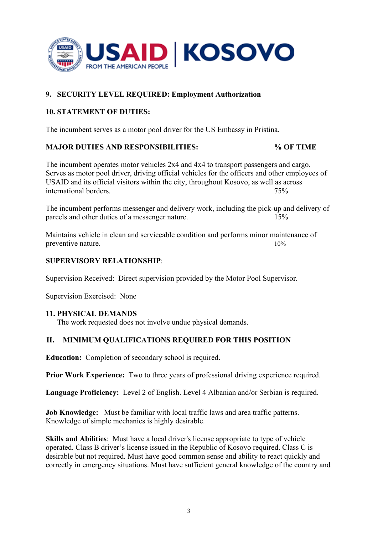

# **9. SECURITY LEVEL REQUIRED: Employment Authorization**

## **10. STATEMENT OF DUTIES:**

The incumbent serves as a motor pool driver for the US Embassy in Pristina.

## **MAJOR DUTIES AND RESPONSIBILITIES: % OF TIME**

The incumbent operates motor vehicles 2x4 and 4x4 to transport passengers and cargo. Serves as motor pool driver, driving official vehicles for the officers and other employees of USAID and its official visitors within the city, throughout Kosovo, as well as across international borders. 75%

The incumbent performs messenger and delivery work, including the pick-up and delivery of parcels and other duties of a messenger nature. 15%

Maintains vehicle in clean and serviceable condition and performs minor maintenance of preventive nature. 10%

#### **SUPERVISORY RELATIONSHIP**:

Supervision Received: Direct supervision provided by the Motor Pool Supervisor.

Supervision Exercised: None

### **11. PHYSICAL DEMANDS**

The work requested does not involve undue physical demands.

# **II. MINIMUM QUALIFICATIONS REQUIRED FOR THIS POSITION**

**Education:** Completion of secondary school is required.

**Prior Work Experience:** Two to three years of professional driving experience required.

**Language Proficiency:** Level 2 of English. Level 4 Albanian and/or Serbian is required.

**Job Knowledge:** Must be familiar with local traffic laws and area traffic patterns. Knowledge of simple mechanics is highly desirable.

**Skills and Abilities**: Must have a local driver's license appropriate to type of vehicle operated. Class B driver's license issued in the Republic of Kosovo required. Class C is desirable but not required. Must have good common sense and ability to react quickly and correctly in emergency situations. Must have sufficient general knowledge of the country and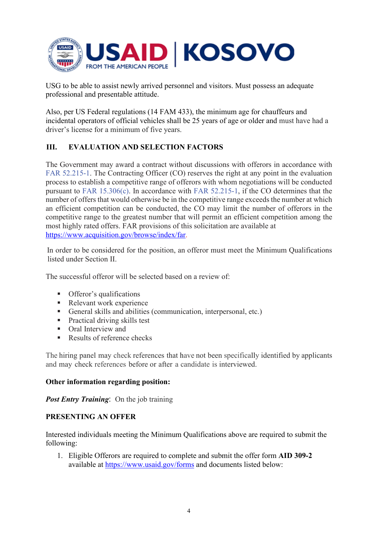

USG to be able to assist newly arrived personnel and visitors. Must possess an adequate professional and presentable attitude.

Also, per US Federal regulations (14 FAM 433), the minimum age for chauffeurs and incidental operators of official vehicles shall be 25 years of age or older and must have had a driver's license for a minimum of five years.

# **III. EVALUATION AND SELECTION FACTORS**

The Government may award a contract without discussions with offerors in accordance with FAR 52.215-1. The Contracting Officer (CO) reserves the right at any point in the evaluation process to establish a competitive range of offerors with whom negotiations will be conducted pursuant to FAR 15.306(c). In accordance with FAR 52.215-1, if the CO determines that the number of offers that would otherwise be in the competitive range exceeds the number at which an efficient competition can be conducted, the CO may limit the number of offerors in the competitive range to the greatest number that will permit an efficient competition among the most highly rated offers. FAR provisions of this solicitation are available at [https://www.acquisition.gov/browse/index/far.](https://www.acquisition.gov/browse/index/far)

In order to be considered for the position, an offeror must meet the Minimum Qualifications listed under Section II.

The successful offeror will be selected based on a review of:

- **•** Offeror's qualifications
- Relevant work experience
- General skills and abilities (communication, interpersonal, etc.)
- **Practical driving skills test**
- **•** Oral Interview and
- Results of reference checks

The hiring panel may check references that have not been specifically identified by applicants and may check references before or after a candidate is interviewed.

### **Other information regarding position:**

*Post Entry Training*: On the job training

### **PRESENTING AN OFFER**

Interested individuals meeting the Minimum Qualifications above are required to submit the following:

1. Eligible Offerors are required to complete and submit the offer form **AID 309-2** available at<https://www.usaid.gov/forms>and documents listed below: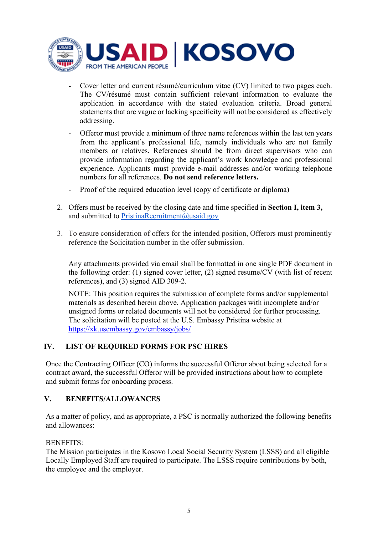

- Cover letter and current résumé/curriculum vitae (CV) limited to two pages each. The CV/résumé must contain sufficient relevant information to evaluate the application in accordance with the stated evaluation criteria. Broad general statements that are vague or lacking specificity will not be considered as effectively addressing.
- Offeror must provide a minimum of three name references within the last ten years from the applicant's professional life, namely individuals who are not family members or relatives. References should be from direct supervisors who can provide information regarding the applicant's work knowledge and professional experience. Applicants must provide e-mail addresses and/or working telephone numbers for all references. **Do not send reference letters.**
- Proof of the required education level (copy of certificate or diploma)
- 2. Offers must be received by the closing date and time specified in **Section I, item 3,** and submitted to [PristinaRecruitment@usaid.gov](mailto:PristinaRecruitment@usaid.gov)
- 3. To ensure consideration of offers for the intended position, Offerors must prominently reference the Solicitation number in the offer submission.

Any attachments provided via email shall be formatted in one single PDF document in the following order: (1) signed cover letter, (2) signed resume/CV (with list of recent references), and (3) signed AID 309-2.

NOTE: This position requires the submission of complete forms and/or supplemental materials as described herein above. Application packages with incomplete and/or unsigned forms or related documents will not be considered for further processing. The solicitation will be posted at the U.S. Embassy Pristina website at <https://xk.usembassy.gov/embassy/jobs/>

# **IV. LIST OF REQUIRED FORMS FOR PSC HIRES**

Once the Contracting Officer (CO) informs the successful Offeror about being selected for a contract award, the successful Offeror will be provided instructions about how to complete and submit forms for onboarding process.

### **V. BENEFITS/ALLOWANCES**

As a matter of policy, and as appropriate, a PSC is normally authorized the following benefits and allowances:

#### BENEFITS:

The Mission participates in the Kosovo Local Social Security System (LSSS) and all eligible Locally Employed Staff are required to participate. The LSSS require contributions by both, the employee and the employer.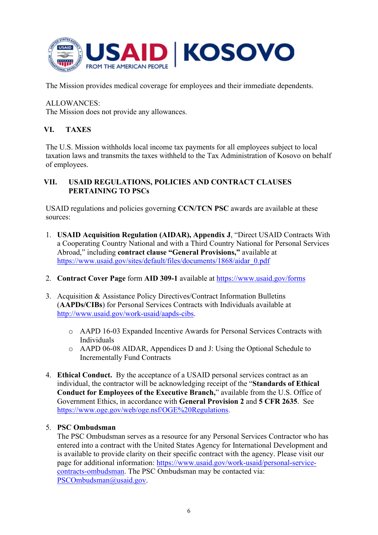

The Mission provides medical coverage for employees and their immediate dependents.

ALLOWANCES:

The Mission does not provide any allowances.

# **VI. TAXES**

The U.S. Mission withholds local income tax payments for all employees subject to local taxation laws and transmits the taxes withheld to the Tax Administration of Kosovo on behalf of employees.

## **VII. USAID REGULATIONS, POLICIES AND CONTRACT CLAUSES PERTAINING TO PSCs**

USAID regulations and policies governing **CCN/TCN PSC** awards are available at these sources:

- 1. **USAID Acquisition Regulation (AIDAR), Appendix J**, "Direct USAID Contracts With a Cooperating Country National and with a Third Country National for Personal Services Abroad," including **contract clause "General Provisions,"** available at [https://www.usaid.gov/sites/default/files/documents/1868/aidar\\_0.pdf](https://www.usaid.gov/sites/default/files/documents/1868/aidar_0.pdf)
- 2. **Contract Cover Page** form **AID 309-1** available at<https://www.usaid.gov/forms>
- 3. Acquisition & Assistance Policy Directives/Contract Information Bulletins (**AAPDs/CIBs**) for Personal Services Contracts with Individuals available at [http://www.usaid.gov/work-usaid/aapds-cibs.](http://www.usaid.gov/work-usaid/aapds-cibs)
	- o AAPD 16-03 Expanded Incentive Awards for Personal Services Contracts with Individuals
	- o AAPD 06-08 AIDAR, Appendices D and J: Using the Optional Schedule to Incrementally Fund Contracts
- 4. **Ethical Conduct.** By the acceptance of a USAID personal services contract as an individual, the contractor will be acknowledging receipt of the "**Standards of Ethical Conduct for Employees of the Executive Branch,**" available from the U.S. Office of Government Ethics, in accordance with **General Provision 2** and **5 CFR 2635**. See [https://www.oge.gov/web/oge.nsf/OGE%20Regulations.](https://www.oge.gov/web/oge.nsf/OGE%20Regulations)

### 5. **PSC Ombudsman**

The PSC Ombudsman serves as a resource for any Personal Services Contractor who has entered into a contract with the United States Agency for International Development and is available to provide clarity on their specific contract with the agency. Please visit our page for additional information: [https://www.usaid.gov/work-usaid/personal-service](https://www.usaid.gov/work-usaid/personal-service-contracts-ombudsman)[contracts-ombudsman.](https://www.usaid.gov/work-usaid/personal-service-contracts-ombudsman) The PSC Ombudsman may be contacted via: PSCOmbudsman@usaid.gov.